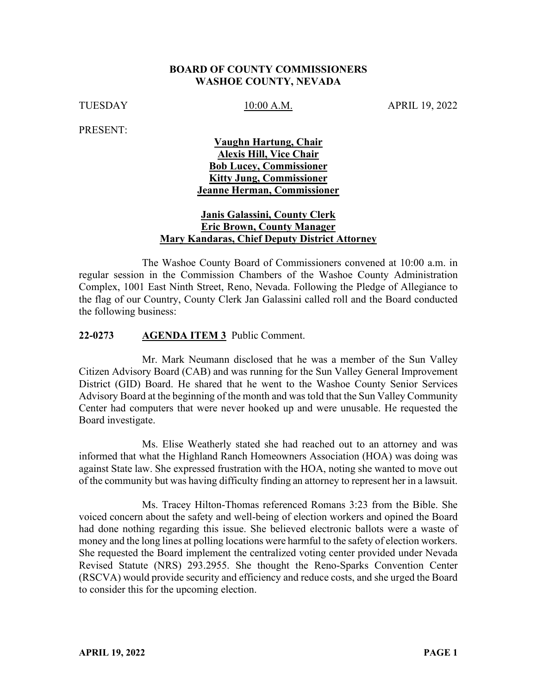#### **BOARD OF COUNTY COMMISSIONERS WASHOE COUNTY, NEVADA**

TUESDAY 10:00 A.M. APRIL 19, 2022

PRESENT:

### **Vaughn Hartung, Chair Alexis Hill, Vice Chair Bob Lucey, Commissioner Kitty Jung, Commissioner Jeanne Herman, Commissioner**

### **Janis Galassini, County Clerk Eric Brown, County Manager Mary Kandaras, Chief Deputy District Attorney**

The Washoe County Board of Commissioners convened at 10:00 a.m. in regular session in the Commission Chambers of the Washoe County Administration Complex, 1001 East Ninth Street, Reno, Nevada. Following the Pledge of Allegiance to the flag of our Country, County Clerk Jan Galassini called roll and the Board conducted the following business:

#### **22-0273 AGENDA ITEM 3** Public Comment.

Mr. Mark Neumann disclosed that he was a member of the Sun Valley Citizen Advisory Board (CAB) and was running for the Sun Valley General Improvement District (GID) Board. He shared that he went to the Washoe County Senior Services Advisory Board at the beginning of the month and was told that the Sun Valley Community Center had computers that were never hooked up and were unusable. He requested the Board investigate.

Ms. Elise Weatherly stated she had reached out to an attorney and was informed that what the Highland Ranch Homeowners Association (HOA) was doing was against State law. She expressed frustration with the HOA, noting she wanted to move out of the community but was having difficulty finding an attorney to represent her in a lawsuit.

Ms. Tracey Hilton-Thomas referenced Romans 3:23 from the Bible. She voiced concern about the safety and well-being of election workers and opined the Board had done nothing regarding this issue. She believed electronic ballots were a waste of money and the long lines at polling locations were harmful to the safety of election workers. She requested the Board implement the centralized voting center provided under Nevada Revised Statute (NRS) 293.2955. She thought the Reno-Sparks Convention Center (RSCVA) would provide security and efficiency and reduce costs, and she urged the Board to consider this for the upcoming election.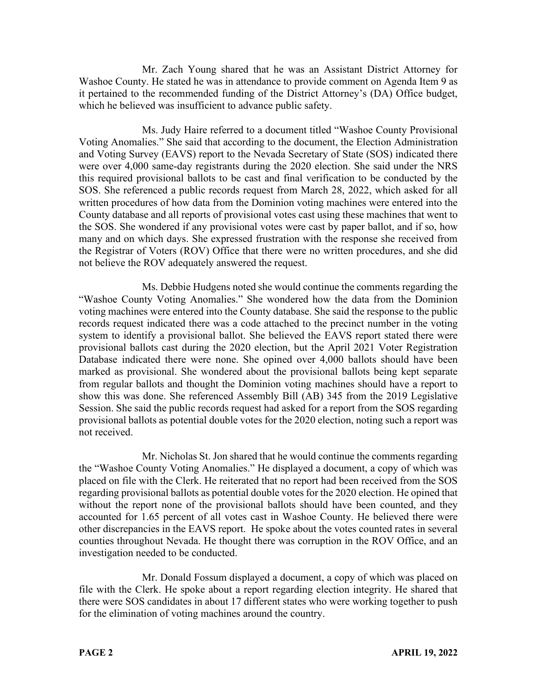Mr. Zach Young shared that he was an Assistant District Attorney for Washoe County. He stated he was in attendance to provide comment on Agenda Item 9 as it pertained to the recommended funding of the District Attorney's (DA) Office budget, which he believed was insufficient to advance public safety.

Ms. Judy Haire referred to a document titled "Washoe County Provisional Voting Anomalies." She said that according to the document, the Election Administration and Voting Survey (EAVS) report to the Nevada Secretary of State (SOS) indicated there were over 4,000 same-day registrants during the 2020 election. She said under the NRS this required provisional ballots to be cast and final verification to be conducted by the SOS. She referenced a public records request from March 28, 2022, which asked for all written procedures of how data from the Dominion voting machines were entered into the County database and all reports of provisional votes cast using these machines that went to the SOS. She wondered if any provisional votes were cast by paper ballot, and if so, how many and on which days. She expressed frustration with the response she received from the Registrar of Voters (ROV) Office that there were no written procedures, and she did not believe the ROV adequately answered the request.

Ms. Debbie Hudgens noted she would continue the comments regarding the "Washoe County Voting Anomalies." She wondered how the data from the Dominion voting machines were entered into the County database. She said the response to the public records request indicated there was a code attached to the precinct number in the voting system to identify a provisional ballot. She believed the EAVS report stated there were provisional ballots cast during the 2020 election, but the April 2021 Voter Registration Database indicated there were none. She opined over 4,000 ballots should have been marked as provisional. She wondered about the provisional ballots being kept separate from regular ballots and thought the Dominion voting machines should have a report to show this was done. She referenced Assembly Bill (AB) 345 from the 2019 Legislative Session. She said the public records request had asked for a report from the SOS regarding provisional ballots as potential double votes for the 2020 election, noting such a report was not received.

Mr. Nicholas St. Jon shared that he would continue the comments regarding the "Washoe County Voting Anomalies." He displayed a document, a copy of which was placed on file with the Clerk. He reiterated that no report had been received from the SOS regarding provisional ballots as potential double votes for the 2020 election. He opined that without the report none of the provisional ballots should have been counted, and they accounted for 1.65 percent of all votes cast in Washoe County. He believed there were other discrepancies in the EAVS report. He spoke about the votes counted rates in several counties throughout Nevada. He thought there was corruption in the ROV Office, and an investigation needed to be conducted.

Mr. Donald Fossum displayed a document, a copy of which was placed on file with the Clerk. He spoke about a report regarding election integrity. He shared that there were SOS candidates in about 17 different states who were working together to push for the elimination of voting machines around the country.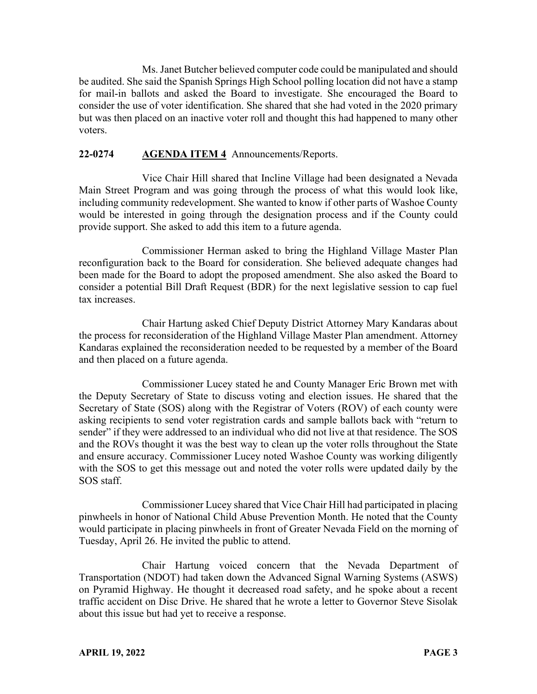Ms. Janet Butcher believed computer code could be manipulated and should be audited. She said the Spanish Springs High School polling location did not have a stamp for mail-in ballots and asked the Board to investigate. She encouraged the Board to consider the use of voter identification. She shared that she had voted in the 2020 primary but was then placed on an inactive voter roll and thought this had happened to many other voters.

### **22-0274 AGENDA ITEM 4** Announcements/Reports.

Vice Chair Hill shared that Incline Village had been designated a Nevada Main Street Program and was going through the process of what this would look like, including community redevelopment. She wanted to know if other parts of Washoe County would be interested in going through the designation process and if the County could provide support. She asked to add this item to a future agenda.

Commissioner Herman asked to bring the Highland Village Master Plan reconfiguration back to the Board for consideration. She believed adequate changes had been made for the Board to adopt the proposed amendment. She also asked the Board to consider a potential Bill Draft Request (BDR) for the next legislative session to cap fuel tax increases.

Chair Hartung asked Chief Deputy District Attorney Mary Kandaras about the process for reconsideration of the Highland Village Master Plan amendment. Attorney Kandaras explained the reconsideration needed to be requested by a member of the Board and then placed on a future agenda.

Commissioner Lucey stated he and County Manager Eric Brown met with the Deputy Secretary of State to discuss voting and election issues. He shared that the Secretary of State (SOS) along with the Registrar of Voters (ROV) of each county were asking recipients to send voter registration cards and sample ballots back with "return to sender" if they were addressed to an individual who did not live at that residence. The SOS and the ROVs thought it was the best way to clean up the voter rolls throughout the State and ensure accuracy. Commissioner Lucey noted Washoe County was working diligently with the SOS to get this message out and noted the voter rolls were updated daily by the SOS staff.

Commissioner Lucey shared that Vice Chair Hill had participated in placing pinwheels in honor of National Child Abuse Prevention Month. He noted that the County would participate in placing pinwheels in front of Greater Nevada Field on the morning of Tuesday, April 26. He invited the public to attend.

Chair Hartung voiced concern that the Nevada Department of Transportation (NDOT) had taken down the Advanced Signal Warning Systems (ASWS) on Pyramid Highway. He thought it decreased road safety, and he spoke about a recent traffic accident on Disc Drive. He shared that he wrote a letter to Governor Steve Sisolak about this issue but had yet to receive a response.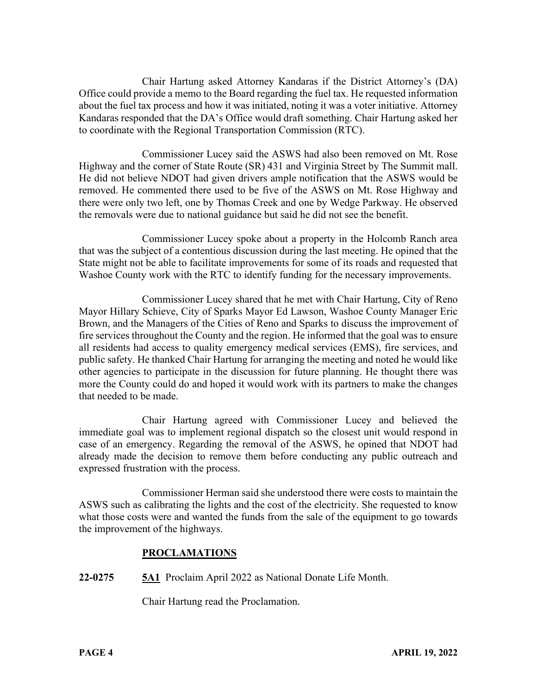Chair Hartung asked Attorney Kandaras if the District Attorney's (DA) Office could provide a memo to the Board regarding the fuel tax. He requested information about the fuel tax process and how it was initiated, noting it was a voter initiative. Attorney Kandaras responded that the DA's Office would draft something. Chair Hartung asked her to coordinate with the Regional Transportation Commission (RTC).

Commissioner Lucey said the ASWS had also been removed on Mt. Rose Highway and the corner of State Route (SR) 431 and Virginia Street by The Summit mall. He did not believe NDOT had given drivers ample notification that the ASWS would be removed. He commented there used to be five of the ASWS on Mt. Rose Highway and there were only two left, one by Thomas Creek and one by Wedge Parkway. He observed the removals were due to national guidance but said he did not see the benefit.

Commissioner Lucey spoke about a property in the Holcomb Ranch area that was the subject of a contentious discussion during the last meeting. He opined that the State might not be able to facilitate improvements for some of its roads and requested that Washoe County work with the RTC to identify funding for the necessary improvements.

Commissioner Lucey shared that he met with Chair Hartung, City of Reno Mayor Hillary Schieve, City of Sparks Mayor Ed Lawson, Washoe County Manager Eric Brown, and the Managers of the Cities of Reno and Sparks to discuss the improvement of fire services throughout the County and the region. He informed that the goal was to ensure all residents had access to quality emergency medical services (EMS), fire services, and public safety. He thanked Chair Hartung for arranging the meeting and noted he would like other agencies to participate in the discussion for future planning. He thought there was more the County could do and hoped it would work with its partners to make the changes that needed to be made.

Chair Hartung agreed with Commissioner Lucey and believed the immediate goal was to implement regional dispatch so the closest unit would respond in case of an emergency. Regarding the removal of the ASWS, he opined that NDOT had already made the decision to remove them before conducting any public outreach and expressed frustration with the process.

Commissioner Herman said she understood there were costs to maintain the ASWS such as calibrating the lights and the cost of the electricity. She requested to know what those costs were and wanted the funds from the sale of the equipment to go towards the improvement of the highways.

## **PROCLAMATIONS**

**22-0275 5A1** Proclaim April 2022 as National Donate Life Month.

Chair Hartung read the Proclamation.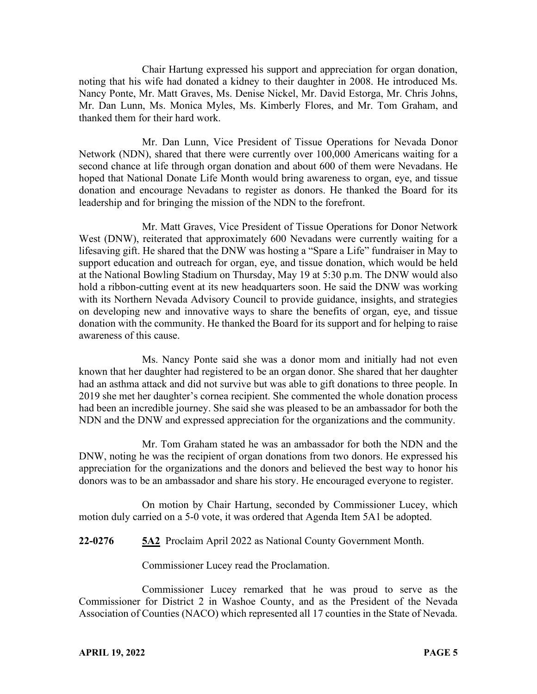Chair Hartung expressed his support and appreciation for organ donation, noting that his wife had donated a kidney to their daughter in 2008. He introduced Ms. Nancy Ponte, Mr. Matt Graves, Ms. Denise Nickel, Mr. David Estorga, Mr. Chris Johns, Mr. Dan Lunn, Ms. Monica Myles, Ms. Kimberly Flores, and Mr. Tom Graham, and thanked them for their hard work.

Mr. Dan Lunn, Vice President of Tissue Operations for Nevada Donor Network (NDN), shared that there were currently over 100,000 Americans waiting for a second chance at life through organ donation and about 600 of them were Nevadans. He hoped that National Donate Life Month would bring awareness to organ, eye, and tissue donation and encourage Nevadans to register as donors. He thanked the Board for its leadership and for bringing the mission of the NDN to the forefront.

Mr. Matt Graves, Vice President of Tissue Operations for Donor Network West (DNW), reiterated that approximately 600 Nevadans were currently waiting for a lifesaving gift. He shared that the DNW was hosting a "Spare a Life" fundraiser in May to support education and outreach for organ, eye, and tissue donation, which would be held at the National Bowling Stadium on Thursday, May 19 at 5:30 p.m. The DNW would also hold a ribbon-cutting event at its new headquarters soon. He said the DNW was working with its Northern Nevada Advisory Council to provide guidance, insights, and strategies on developing new and innovative ways to share the benefits of organ, eye, and tissue donation with the community. He thanked the Board for its support and for helping to raise awareness of this cause.

Ms. Nancy Ponte said she was a donor mom and initially had not even known that her daughter had registered to be an organ donor. She shared that her daughter had an asthma attack and did not survive but was able to gift donations to three people. In 2019 she met her daughter's cornea recipient. She commented the whole donation process had been an incredible journey. She said she was pleased to be an ambassador for both the NDN and the DNW and expressed appreciation for the organizations and the community.

Mr. Tom Graham stated he was an ambassador for both the NDN and the DNW, noting he was the recipient of organ donations from two donors. He expressed his appreciation for the organizations and the donors and believed the best way to honor his donors was to be an ambassador and share his story. He encouraged everyone to register.

On motion by Chair Hartung, seconded by Commissioner Lucey, which motion duly carried on a 5-0 vote, it was ordered that Agenda Item 5A1 be adopted.

**22-0276 5A2** Proclaim April 2022 as National County Government Month.

Commissioner Lucey read the Proclamation.

Commissioner Lucey remarked that he was proud to serve as the Commissioner for District 2 in Washoe County, and as the President of the Nevada Association of Counties (NACO) which represented all 17 counties in the State of Nevada.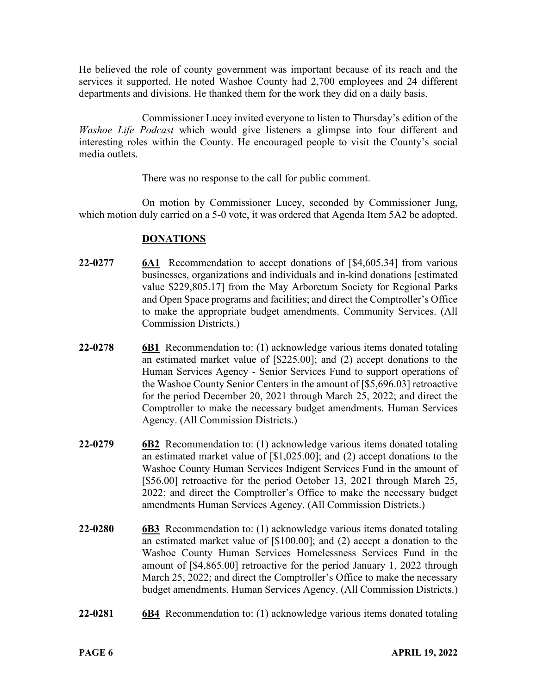He believed the role of county government was important because of its reach and the services it supported. He noted Washoe County had 2,700 employees and 24 different departments and divisions. He thanked them for the work they did on a daily basis.

Commissioner Lucey invited everyone to listen to Thursday's edition of the *Washoe Life Podcast* which would give listeners a glimpse into four different and interesting roles within the County. He encouraged people to visit the County's social media outlets.

There was no response to the call for public comment.

On motion by Commissioner Lucey, seconded by Commissioner Jung, which motion duly carried on a 5-0 vote, it was ordered that Agenda Item 5A2 be adopted.

## **DONATIONS**

- **22-0277 6A1** Recommendation to accept donations of [\$4,605.34] from various businesses, organizations and individuals and in-kind donations [estimated value \$229,805.17] from the May Arboretum Society for Regional Parks and Open Space programs and facilities; and direct the Comptroller's Office to make the appropriate budget amendments. Community Services. (All Commission Districts.)
- **22-0278 6B1** Recommendation to: (1) acknowledge various items donated totaling an estimated market value of [\$225.00]; and (2) accept donations to the Human Services Agency - Senior Services Fund to support operations of the Washoe County Senior Centers in the amount of [\$5,696.03] retroactive for the period December 20, 2021 through March 25, 2022; and direct the Comptroller to make the necessary budget amendments. Human Services Agency. (All Commission Districts.)
- **22-0279 6B2** Recommendation to: (1) acknowledge various items donated totaling an estimated market value of [\$1,025.00]; and (2) accept donations to the Washoe County Human Services Indigent Services Fund in the amount of [\$56.00] retroactive for the period October 13, 2021 through March 25, 2022; and direct the Comptroller's Office to make the necessary budget amendments Human Services Agency. (All Commission Districts.)
- **22-0280 6B3** Recommendation to: (1) acknowledge various items donated totaling an estimated market value of [\$100.00]; and (2) accept a donation to the Washoe County Human Services Homelessness Services Fund in the amount of [\$4,865.00] retroactive for the period January 1, 2022 through March 25, 2022; and direct the Comptroller's Office to make the necessary budget amendments. Human Services Agency. (All Commission Districts.)
- **22-0281 6B4** Recommendation to: (1) acknowledge various items donated totaling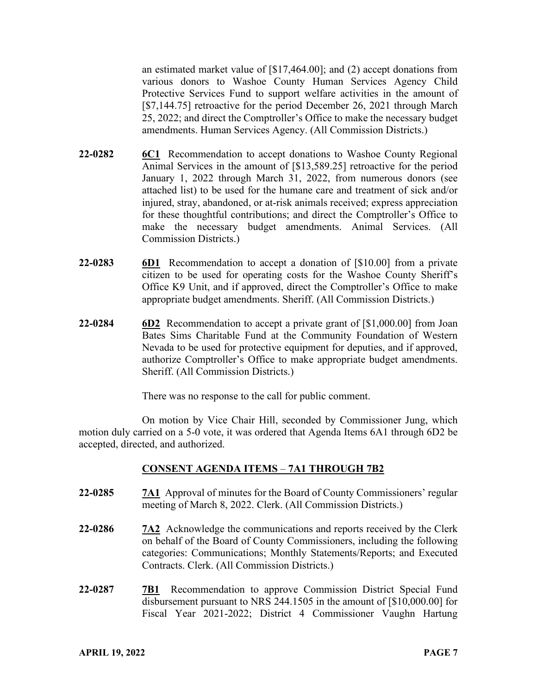an estimated market value of [\$17,464.00]; and (2) accept donations from various donors to Washoe County Human Services Agency Child Protective Services Fund to support welfare activities in the amount of [\$7,144.75] retroactive for the period December 26, 2021 through March 25, 2022; and direct the Comptroller's Office to make the necessary budget amendments. Human Services Agency. (All Commission Districts.)

- **22-0282 6C1** Recommendation to accept donations to Washoe County Regional Animal Services in the amount of [\$13,589.25] retroactive for the period January 1, 2022 through March 31, 2022, from numerous donors (see attached list) to be used for the humane care and treatment of sick and/or injured, stray, abandoned, or at-risk animals received; express appreciation for these thoughtful contributions; and direct the Comptroller's Office to make the necessary budget amendments. Animal Services. (All Commission Districts.)
- **22-0283 6D1** Recommendation to accept a donation of [\$10.00] from a private citizen to be used for operating costs for the Washoe County Sheriff's Office K9 Unit, and if approved, direct the Comptroller's Office to make appropriate budget amendments. Sheriff. (All Commission Districts.)
- **22-0284 6D2** Recommendation to accept a private grant of [\$1,000.00] from Joan Bates Sims Charitable Fund at the Community Foundation of Western Nevada to be used for protective equipment for deputies, and if approved, authorize Comptroller's Office to make appropriate budget amendments. Sheriff. (All Commission Districts.)

There was no response to the call for public comment.

On motion by Vice Chair Hill, seconded by Commissioner Jung, which motion duly carried on a 5-0 vote, it was ordered that Agenda Items 6A1 through 6D2 be accepted, directed, and authorized.

## **CONSENT AGENDA ITEMS** – **7A1 THROUGH 7B2**

- **22-0285 7A1** Approval of minutes for the Board of County Commissioners' regular meeting of March 8, 2022. Clerk. (All Commission Districts.)
- **22-0286 7A2** Acknowledge the communications and reports received by the Clerk on behalf of the Board of County Commissioners, including the following categories: Communications; Monthly Statements/Reports; and Executed Contracts. Clerk. (All Commission Districts.)
- **22-0287 7B1** Recommendation to approve Commission District Special Fund disbursement pursuant to NRS 244.1505 in the amount of [\$10,000.00] for Fiscal Year 2021-2022; District 4 Commissioner Vaughn Hartung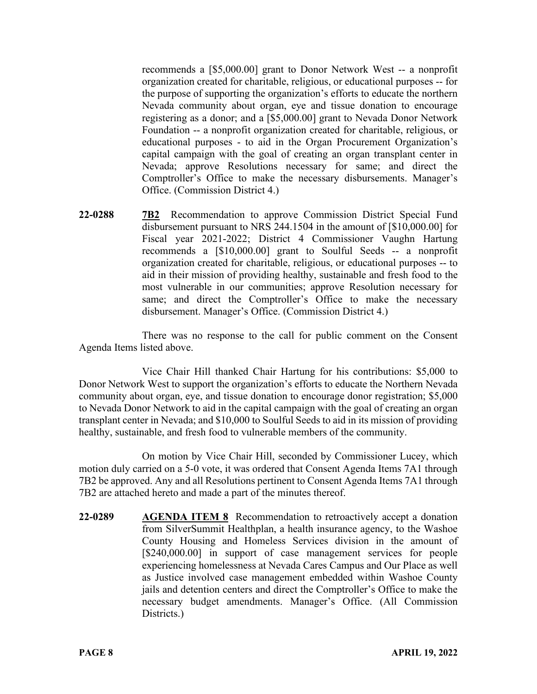recommends a [\$5,000.00] grant to Donor Network West -- a nonprofit organization created for charitable, religious, or educational purposes -- for the purpose of supporting the organization's efforts to educate the northern Nevada community about organ, eye and tissue donation to encourage registering as a donor; and a [\$5,000.00] grant to Nevada Donor Network Foundation -- a nonprofit organization created for charitable, religious, or educational purposes - to aid in the Organ Procurement Organization's capital campaign with the goal of creating an organ transplant center in Nevada; approve Resolutions necessary for same; and direct the Comptroller's Office to make the necessary disbursements. Manager's Office. (Commission District 4.)

**22-0288 7B2** Recommendation to approve Commission District Special Fund disbursement pursuant to NRS 244.1504 in the amount of [\$10,000.00] for Fiscal year 2021-2022; District 4 Commissioner Vaughn Hartung recommends a [\$10,000.00] grant to Soulful Seeds -- a nonprofit organization created for charitable, religious, or educational purposes -- to aid in their mission of providing healthy, sustainable and fresh food to the most vulnerable in our communities; approve Resolution necessary for same; and direct the Comptroller's Office to make the necessary disbursement. Manager's Office. (Commission District 4.)

There was no response to the call for public comment on the Consent Agenda Items listed above.

Vice Chair Hill thanked Chair Hartung for his contributions: \$5,000 to Donor Network West to support the organization's efforts to educate the Northern Nevada community about organ, eye, and tissue donation to encourage donor registration; \$5,000 to Nevada Donor Network to aid in the capital campaign with the goal of creating an organ transplant center in Nevada; and \$10,000 to Soulful Seeds to aid in its mission of providing healthy, sustainable, and fresh food to vulnerable members of the community.

On motion by Vice Chair Hill, seconded by Commissioner Lucey, which motion duly carried on a 5-0 vote, it was ordered that Consent Agenda Items 7A1 through 7B2 be approved. Any and all Resolutions pertinent to Consent Agenda Items 7A1 through 7B2 are attached hereto and made a part of the minutes thereof.

**22-0289 AGENDA ITEM 8** Recommendation to retroactively accept a donation from SilverSummit Healthplan, a health insurance agency, to the Washoe County Housing and Homeless Services division in the amount of [\$240,000.00] in support of case management services for people experiencing homelessness at Nevada Cares Campus and Our Place as well as Justice involved case management embedded within Washoe County jails and detention centers and direct the Comptroller's Office to make the necessary budget amendments. Manager's Office. (All Commission Districts.)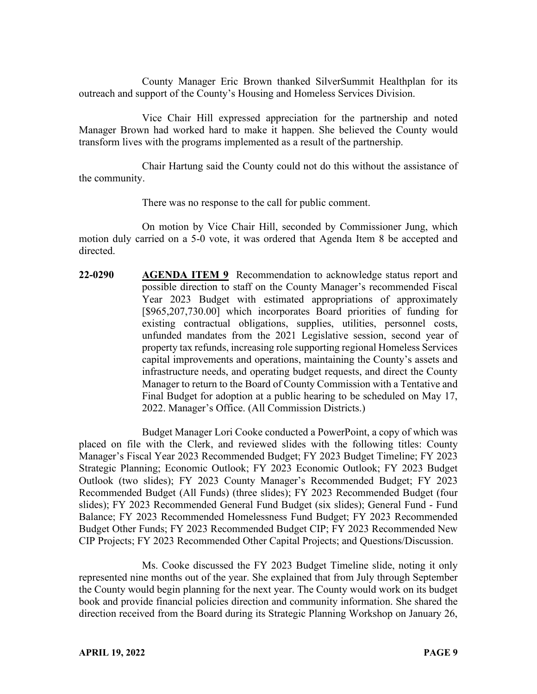County Manager Eric Brown thanked SilverSummit Healthplan for its outreach and support of the County's Housing and Homeless Services Division.

Vice Chair Hill expressed appreciation for the partnership and noted Manager Brown had worked hard to make it happen. She believed the County would transform lives with the programs implemented as a result of the partnership.

Chair Hartung said the County could not do this without the assistance of the community.

There was no response to the call for public comment.

On motion by Vice Chair Hill, seconded by Commissioner Jung, which motion duly carried on a 5-0 vote, it was ordered that Agenda Item 8 be accepted and directed.

**22-0290 AGENDA ITEM 9** Recommendation to acknowledge status report and possible direction to staff on the County Manager's recommended Fiscal Year 2023 Budget with estimated appropriations of approximately [\$965,207,730.00] which incorporates Board priorities of funding for existing contractual obligations, supplies, utilities, personnel costs, unfunded mandates from the 2021 Legislative session, second year of property tax refunds, increasing role supporting regional Homeless Services capital improvements and operations, maintaining the County's assets and infrastructure needs, and operating budget requests, and direct the County Manager to return to the Board of County Commission with a Tentative and Final Budget for adoption at a public hearing to be scheduled on May 17, 2022. Manager's Office. (All Commission Districts.)

Budget Manager Lori Cooke conducted a PowerPoint, a copy of which was placed on file with the Clerk, and reviewed slides with the following titles: County Manager's Fiscal Year 2023 Recommended Budget; FY 2023 Budget Timeline; FY 2023 Strategic Planning; Economic Outlook; FY 2023 Economic Outlook; FY 2023 Budget Outlook (two slides); FY 2023 County Manager's Recommended Budget; FY 2023 Recommended Budget (All Funds) (three slides); FY 2023 Recommended Budget (four slides); FY 2023 Recommended General Fund Budget (six slides); General Fund - Fund Balance; FY 2023 Recommended Homelessness Fund Budget; FY 2023 Recommended Budget Other Funds; FY 2023 Recommended Budget CIP; FY 2023 Recommended New CIP Projects; FY 2023 Recommended Other Capital Projects; and Questions/Discussion.

Ms. Cooke discussed the FY 2023 Budget Timeline slide, noting it only represented nine months out of the year. She explained that from July through September the County would begin planning for the next year. The County would work on its budget book and provide financial policies direction and community information. She shared the direction received from the Board during its Strategic Planning Workshop on January 26,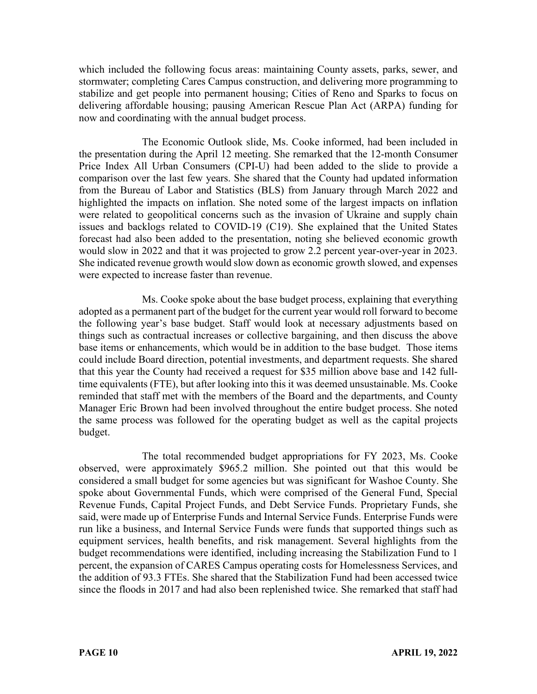which included the following focus areas: maintaining County assets, parks, sewer, and stormwater; completing Cares Campus construction, and delivering more programming to stabilize and get people into permanent housing; Cities of Reno and Sparks to focus on delivering affordable housing; pausing American Rescue Plan Act (ARPA) funding for now and coordinating with the annual budget process.

The Economic Outlook slide, Ms. Cooke informed, had been included in the presentation during the April 12 meeting. She remarked that the 12-month Consumer Price Index All Urban Consumers (CPI-U) had been added to the slide to provide a comparison over the last few years. She shared that the County had updated information from the Bureau of Labor and Statistics (BLS) from January through March 2022 and highlighted the impacts on inflation. She noted some of the largest impacts on inflation were related to geopolitical concerns such as the invasion of Ukraine and supply chain issues and backlogs related to COVID-19 (C19). She explained that the United States forecast had also been added to the presentation, noting she believed economic growth would slow in 2022 and that it was projected to grow 2.2 percent year-over-year in 2023. She indicated revenue growth would slow down as economic growth slowed, and expenses were expected to increase faster than revenue.

Ms. Cooke spoke about the base budget process, explaining that everything adopted as a permanent part of the budget for the current year would roll forward to become the following year's base budget. Staff would look at necessary adjustments based on things such as contractual increases or collective bargaining, and then discuss the above base items or enhancements, which would be in addition to the base budget. Those items could include Board direction, potential investments, and department requests. She shared that this year the County had received a request for \$35 million above base and 142 fulltime equivalents (FTE), but after looking into this it was deemed unsustainable. Ms. Cooke reminded that staff met with the members of the Board and the departments, and County Manager Eric Brown had been involved throughout the entire budget process. She noted the same process was followed for the operating budget as well as the capital projects budget.

The total recommended budget appropriations for FY 2023, Ms. Cooke observed, were approximately \$965.2 million. She pointed out that this would be considered a small budget for some agencies but was significant for Washoe County. She spoke about Governmental Funds, which were comprised of the General Fund, Special Revenue Funds, Capital Project Funds, and Debt Service Funds. Proprietary Funds, she said, were made up of Enterprise Funds and Internal Service Funds. Enterprise Funds were run like a business, and Internal Service Funds were funds that supported things such as equipment services, health benefits, and risk management. Several highlights from the budget recommendations were identified, including increasing the Stabilization Fund to 1 percent, the expansion of CARES Campus operating costs for Homelessness Services, and the addition of 93.3 FTEs. She shared that the Stabilization Fund had been accessed twice since the floods in 2017 and had also been replenished twice. She remarked that staff had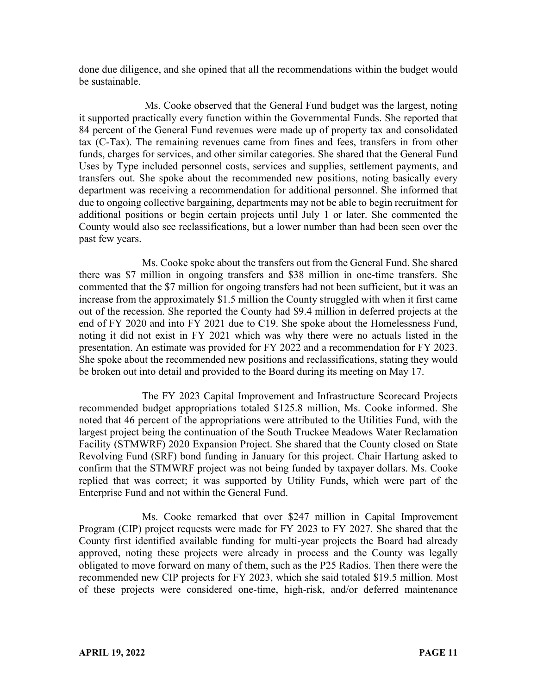done due diligence, and she opined that all the recommendations within the budget would be sustainable.

Ms. Cooke observed that the General Fund budget was the largest, noting it supported practically every function within the Governmental Funds. She reported that 84 percent of the General Fund revenues were made up of property tax and consolidated tax (C-Tax). The remaining revenues came from fines and fees, transfers in from other funds, charges for services, and other similar categories. She shared that the General Fund Uses by Type included personnel costs, services and supplies, settlement payments, and transfers out. She spoke about the recommended new positions, noting basically every department was receiving a recommendation for additional personnel. She informed that due to ongoing collective bargaining, departments may not be able to begin recruitment for additional positions or begin certain projects until July 1 or later. She commented the County would also see reclassifications, but a lower number than had been seen over the past few years.

Ms. Cooke spoke about the transfers out from the General Fund. She shared there was \$7 million in ongoing transfers and \$38 million in one-time transfers. She commented that the \$7 million for ongoing transfers had not been sufficient, but it was an increase from the approximately \$1.5 million the County struggled with when it first came out of the recession. She reported the County had \$9.4 million in deferred projects at the end of FY 2020 and into FY 2021 due to C19. She spoke about the Homelessness Fund, noting it did not exist in FY 2021 which was why there were no actuals listed in the presentation. An estimate was provided for FY 2022 and a recommendation for FY 2023. She spoke about the recommended new positions and reclassifications, stating they would be broken out into detail and provided to the Board during its meeting on May 17.

The FY 2023 Capital Improvement and Infrastructure Scorecard Projects recommended budget appropriations totaled \$125.8 million, Ms. Cooke informed. She noted that 46 percent of the appropriations were attributed to the Utilities Fund, with the largest project being the continuation of the South Truckee Meadows Water Reclamation Facility (STMWRF) 2020 Expansion Project. She shared that the County closed on State Revolving Fund (SRF) bond funding in January for this project. Chair Hartung asked to confirm that the STMWRF project was not being funded by taxpayer dollars. Ms. Cooke replied that was correct; it was supported by Utility Funds, which were part of the Enterprise Fund and not within the General Fund.

Ms. Cooke remarked that over \$247 million in Capital Improvement Program (CIP) project requests were made for FY 2023 to FY 2027. She shared that the County first identified available funding for multi-year projects the Board had already approved, noting these projects were already in process and the County was legally obligated to move forward on many of them, such as the P25 Radios. Then there were the recommended new CIP projects for FY 2023, which she said totaled \$19.5 million. Most of these projects were considered one-time, high-risk, and/or deferred maintenance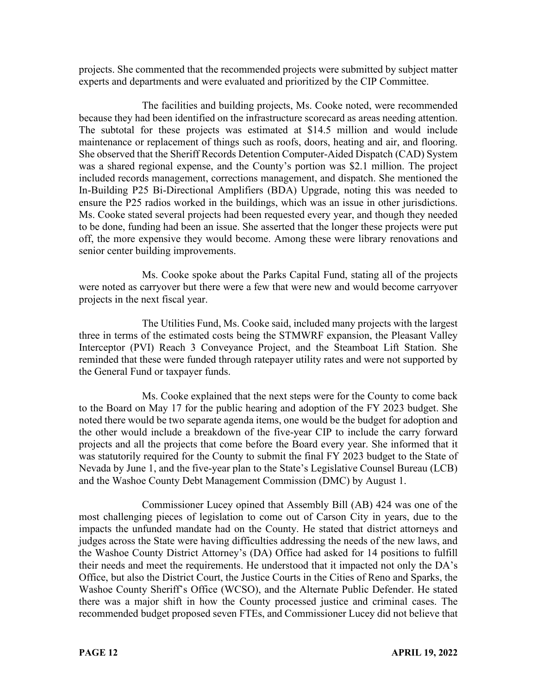projects. She commented that the recommended projects were submitted by subject matter experts and departments and were evaluated and prioritized by the CIP Committee.

The facilities and building projects, Ms. Cooke noted, were recommended because they had been identified on the infrastructure scorecard as areas needing attention. The subtotal for these projects was estimated at \$14.5 million and would include maintenance or replacement of things such as roofs, doors, heating and air, and flooring. She observed that the Sheriff Records Detention Computer-Aided Dispatch (CAD) System was a shared regional expense, and the County's portion was \$2.1 million. The project included records management, corrections management, and dispatch. She mentioned the In-Building P25 Bi-Directional Amplifiers (BDA) Upgrade, noting this was needed to ensure the P25 radios worked in the buildings, which was an issue in other jurisdictions. Ms. Cooke stated several projects had been requested every year, and though they needed to be done, funding had been an issue. She asserted that the longer these projects were put off, the more expensive they would become. Among these were library renovations and senior center building improvements.

Ms. Cooke spoke about the Parks Capital Fund, stating all of the projects were noted as carryover but there were a few that were new and would become carryover projects in the next fiscal year.

The Utilities Fund, Ms. Cooke said, included many projects with the largest three in terms of the estimated costs being the STMWRF expansion, the Pleasant Valley Interceptor (PVI) Reach 3 Conveyance Project, and the Steamboat Lift Station. She reminded that these were funded through ratepayer utility rates and were not supported by the General Fund or taxpayer funds.

Ms. Cooke explained that the next steps were for the County to come back to the Board on May 17 for the public hearing and adoption of the FY 2023 budget. She noted there would be two separate agenda items, one would be the budget for adoption and the other would include a breakdown of the five-year CIP to include the carry forward projects and all the projects that come before the Board every year. She informed that it was statutorily required for the County to submit the final FY 2023 budget to the State of Nevada by June 1, and the five-year plan to the State's Legislative Counsel Bureau (LCB) and the Washoe County Debt Management Commission (DMC) by August 1.

Commissioner Lucey opined that Assembly Bill (AB) 424 was one of the most challenging pieces of legislation to come out of Carson City in years, due to the impacts the unfunded mandate had on the County. He stated that district attorneys and judges across the State were having difficulties addressing the needs of the new laws, and the Washoe County District Attorney's (DA) Office had asked for 14 positions to fulfill their needs and meet the requirements. He understood that it impacted not only the DA's Office, but also the District Court, the Justice Courts in the Cities of Reno and Sparks, the Washoe County Sheriff's Office (WCSO), and the Alternate Public Defender. He stated there was a major shift in how the County processed justice and criminal cases. The recommended budget proposed seven FTEs, and Commissioner Lucey did not believe that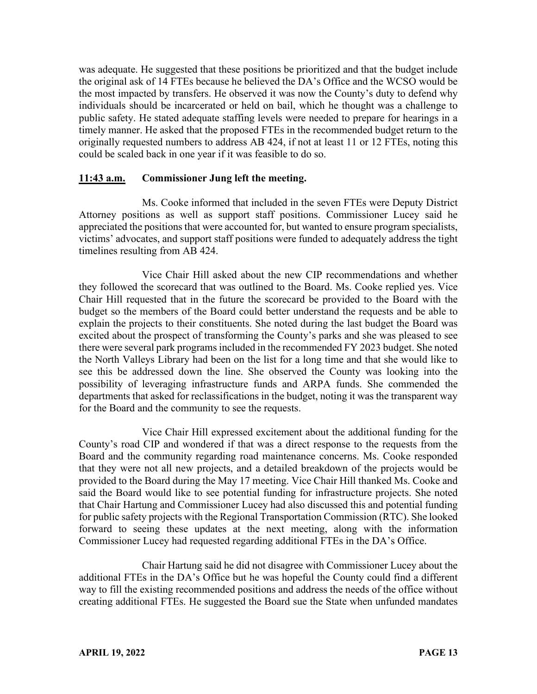was adequate. He suggested that these positions be prioritized and that the budget include the original ask of 14 FTEs because he believed the DA's Office and the WCSO would be the most impacted by transfers. He observed it was now the County's duty to defend why individuals should be incarcerated or held on bail, which he thought was a challenge to public safety. He stated adequate staffing levels were needed to prepare for hearings in a timely manner. He asked that the proposed FTEs in the recommended budget return to the originally requested numbers to address AB 424, if not at least 11 or 12 FTEs, noting this could be scaled back in one year if it was feasible to do so.

### **11:43 a.m. Commissioner Jung left the meeting.**

Ms. Cooke informed that included in the seven FTEs were Deputy District Attorney positions as well as support staff positions. Commissioner Lucey said he appreciated the positions that were accounted for, but wanted to ensure program specialists, victims' advocates, and support staff positions were funded to adequately address the tight timelines resulting from AB 424.

Vice Chair Hill asked about the new CIP recommendations and whether they followed the scorecard that was outlined to the Board. Ms. Cooke replied yes. Vice Chair Hill requested that in the future the scorecard be provided to the Board with the budget so the members of the Board could better understand the requests and be able to explain the projects to their constituents. She noted during the last budget the Board was excited about the prospect of transforming the County's parks and she was pleased to see there were several park programs included in the recommended FY 2023 budget. She noted the North Valleys Library had been on the list for a long time and that she would like to see this be addressed down the line. She observed the County was looking into the possibility of leveraging infrastructure funds and ARPA funds. She commended the departments that asked for reclassifications in the budget, noting it was the transparent way for the Board and the community to see the requests.

Vice Chair Hill expressed excitement about the additional funding for the County's road CIP and wondered if that was a direct response to the requests from the Board and the community regarding road maintenance concerns. Ms. Cooke responded that they were not all new projects, and a detailed breakdown of the projects would be provided to the Board during the May 17 meeting. Vice Chair Hill thanked Ms. Cooke and said the Board would like to see potential funding for infrastructure projects. She noted that Chair Hartung and Commissioner Lucey had also discussed this and potential funding for public safety projects with the Regional Transportation Commission (RTC). She looked forward to seeing these updates at the next meeting, along with the information Commissioner Lucey had requested regarding additional FTEs in the DA's Office.

Chair Hartung said he did not disagree with Commissioner Lucey about the additional FTEs in the DA's Office but he was hopeful the County could find a different way to fill the existing recommended positions and address the needs of the office without creating additional FTEs. He suggested the Board sue the State when unfunded mandates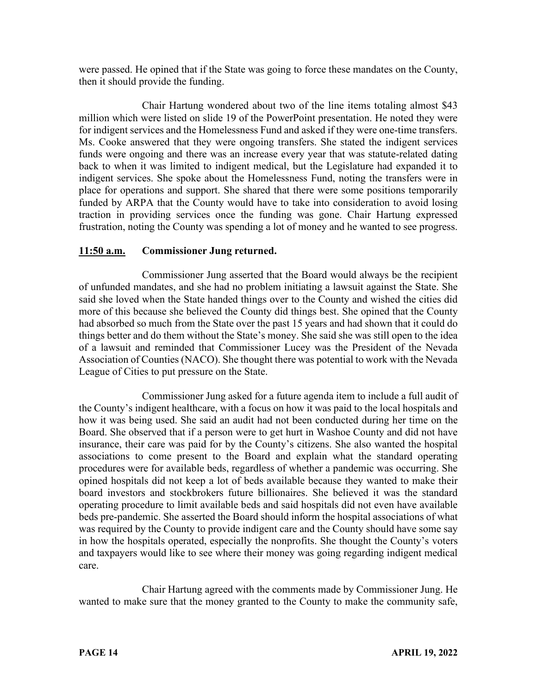were passed. He opined that if the State was going to force these mandates on the County, then it should provide the funding.

Chair Hartung wondered about two of the line items totaling almost \$43 million which were listed on slide 19 of the PowerPoint presentation. He noted they were for indigent services and the Homelessness Fund and asked if they were one-time transfers. Ms. Cooke answered that they were ongoing transfers. She stated the indigent services funds were ongoing and there was an increase every year that was statute-related dating back to when it was limited to indigent medical, but the Legislature had expanded it to indigent services. She spoke about the Homelessness Fund, noting the transfers were in place for operations and support. She shared that there were some positions temporarily funded by ARPA that the County would have to take into consideration to avoid losing traction in providing services once the funding was gone. Chair Hartung expressed frustration, noting the County was spending a lot of money and he wanted to see progress.

### **11:50 a.m. Commissioner Jung returned.**

Commissioner Jung asserted that the Board would always be the recipient of unfunded mandates, and she had no problem initiating a lawsuit against the State. She said she loved when the State handed things over to the County and wished the cities did more of this because she believed the County did things best. She opined that the County had absorbed so much from the State over the past 15 years and had shown that it could do things better and do them without the State's money. She said she was still open to the idea of a lawsuit and reminded that Commissioner Lucey was the President of the Nevada Association of Counties (NACO). She thought there was potential to work with the Nevada League of Cities to put pressure on the State.

Commissioner Jung asked for a future agenda item to include a full audit of the County's indigent healthcare, with a focus on how it was paid to the local hospitals and how it was being used. She said an audit had not been conducted during her time on the Board. She observed that if a person were to get hurt in Washoe County and did not have insurance, their care was paid for by the County's citizens. She also wanted the hospital associations to come present to the Board and explain what the standard operating procedures were for available beds, regardless of whether a pandemic was occurring. She opined hospitals did not keep a lot of beds available because they wanted to make their board investors and stockbrokers future billionaires. She believed it was the standard operating procedure to limit available beds and said hospitals did not even have available beds pre-pandemic. She asserted the Board should inform the hospital associations of what was required by the County to provide indigent care and the County should have some say in how the hospitals operated, especially the nonprofits. She thought the County's voters and taxpayers would like to see where their money was going regarding indigent medical care.

Chair Hartung agreed with the comments made by Commissioner Jung. He wanted to make sure that the money granted to the County to make the community safe,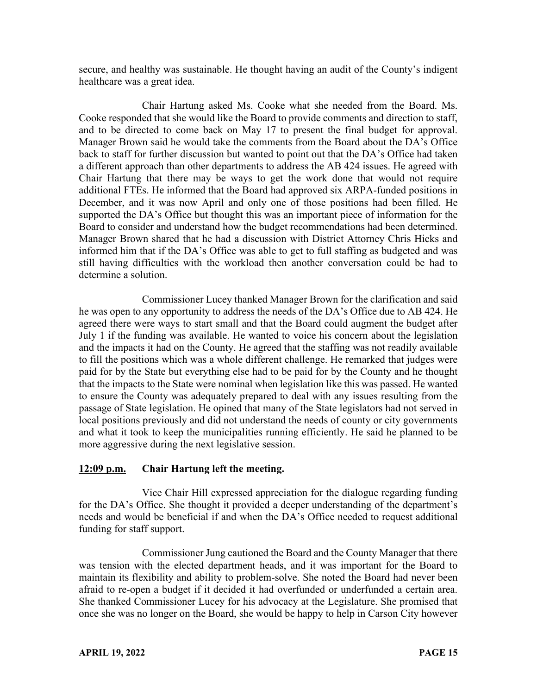secure, and healthy was sustainable. He thought having an audit of the County's indigent healthcare was a great idea.

Chair Hartung asked Ms. Cooke what she needed from the Board. Ms. Cooke responded that she would like the Board to provide comments and direction to staff, and to be directed to come back on May 17 to present the final budget for approval. Manager Brown said he would take the comments from the Board about the DA's Office back to staff for further discussion but wanted to point out that the DA's Office had taken a different approach than other departments to address the AB 424 issues. He agreed with Chair Hartung that there may be ways to get the work done that would not require additional FTEs. He informed that the Board had approved six ARPA-funded positions in December, and it was now April and only one of those positions had been filled. He supported the DA's Office but thought this was an important piece of information for the Board to consider and understand how the budget recommendations had been determined. Manager Brown shared that he had a discussion with District Attorney Chris Hicks and informed him that if the DA's Office was able to get to full staffing as budgeted and was still having difficulties with the workload then another conversation could be had to determine a solution.

Commissioner Lucey thanked Manager Brown for the clarification and said he was open to any opportunity to address the needs of the DA's Office due to AB 424. He agreed there were ways to start small and that the Board could augment the budget after July 1 if the funding was available. He wanted to voice his concern about the legislation and the impacts it had on the County. He agreed that the staffing was not readily available to fill the positions which was a whole different challenge. He remarked that judges were paid for by the State but everything else had to be paid for by the County and he thought that the impacts to the State were nominal when legislation like this was passed. He wanted to ensure the County was adequately prepared to deal with any issues resulting from the passage of State legislation. He opined that many of the State legislators had not served in local positions previously and did not understand the needs of county or city governments and what it took to keep the municipalities running efficiently. He said he planned to be more aggressive during the next legislative session.

### **12:09 p.m. Chair Hartung left the meeting.**

Vice Chair Hill expressed appreciation for the dialogue regarding funding for the DA's Office. She thought it provided a deeper understanding of the department's needs and would be beneficial if and when the DA's Office needed to request additional funding for staff support.

Commissioner Jung cautioned the Board and the County Manager that there was tension with the elected department heads, and it was important for the Board to maintain its flexibility and ability to problem-solve. She noted the Board had never been afraid to re-open a budget if it decided it had overfunded or underfunded a certain area. She thanked Commissioner Lucey for his advocacy at the Legislature. She promised that once she was no longer on the Board, she would be happy to help in Carson City however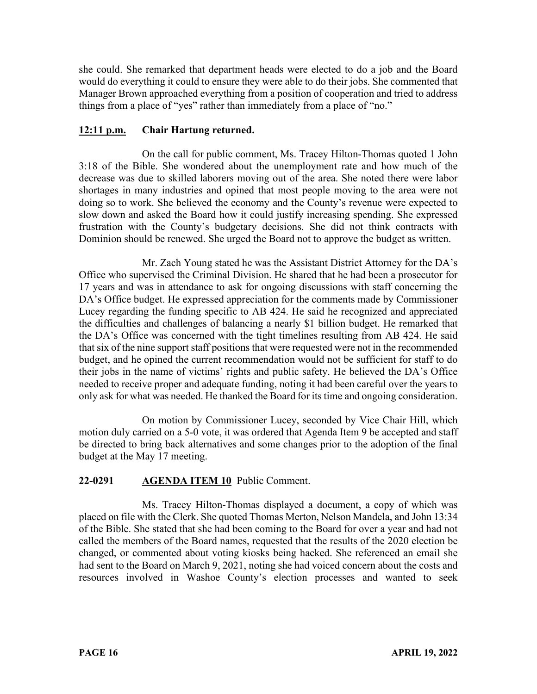she could. She remarked that department heads were elected to do a job and the Board would do everything it could to ensure they were able to do their jobs. She commented that Manager Brown approached everything from a position of cooperation and tried to address things from a place of "yes" rather than immediately from a place of "no."

# **12:11 p.m. Chair Hartung returned.**

On the call for public comment, Ms. Tracey Hilton-Thomas quoted 1 John 3:18 of the Bible. She wondered about the unemployment rate and how much of the decrease was due to skilled laborers moving out of the area. She noted there were labor shortages in many industries and opined that most people moving to the area were not doing so to work. She believed the economy and the County's revenue were expected to slow down and asked the Board how it could justify increasing spending. She expressed frustration with the County's budgetary decisions. She did not think contracts with Dominion should be renewed. She urged the Board not to approve the budget as written.

Mr. Zach Young stated he was the Assistant District Attorney for the DA's Office who supervised the Criminal Division. He shared that he had been a prosecutor for 17 years and was in attendance to ask for ongoing discussions with staff concerning the DA's Office budget. He expressed appreciation for the comments made by Commissioner Lucey regarding the funding specific to AB 424. He said he recognized and appreciated the difficulties and challenges of balancing a nearly \$1 billion budget. He remarked that the DA's Office was concerned with the tight timelines resulting from AB 424. He said that six of the nine support staff positions that were requested were not in the recommended budget, and he opined the current recommendation would not be sufficient for staff to do their jobs in the name of victims' rights and public safety. He believed the DA's Office needed to receive proper and adequate funding, noting it had been careful over the years to only ask for what was needed. He thanked the Board for its time and ongoing consideration.

On motion by Commissioner Lucey, seconded by Vice Chair Hill, which motion duly carried on a 5-0 vote, it was ordered that Agenda Item 9 be accepted and staff be directed to bring back alternatives and some changes prior to the adoption of the final budget at the May 17 meeting.

## **22-0291 AGENDA ITEM 10** Public Comment.

Ms. Tracey Hilton-Thomas displayed a document, a copy of which was placed on file with the Clerk. She quoted Thomas Merton, Nelson Mandela, and John 13:34 of the Bible. She stated that she had been coming to the Board for over a year and had not called the members of the Board names, requested that the results of the 2020 election be changed, or commented about voting kiosks being hacked. She referenced an email she had sent to the Board on March 9, 2021, noting she had voiced concern about the costs and resources involved in Washoe County's election processes and wanted to seek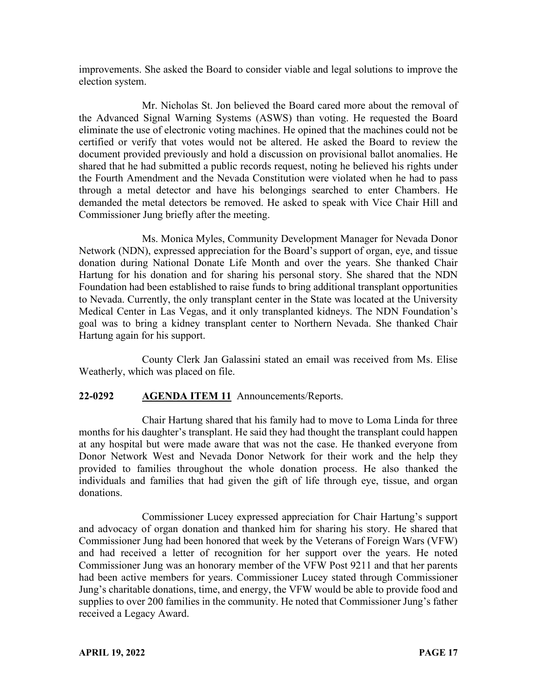improvements. She asked the Board to consider viable and legal solutions to improve the election system.

Mr. Nicholas St. Jon believed the Board cared more about the removal of the Advanced Signal Warning Systems (ASWS) than voting. He requested the Board eliminate the use of electronic voting machines. He opined that the machines could not be certified or verify that votes would not be altered. He asked the Board to review the document provided previously and hold a discussion on provisional ballot anomalies. He shared that he had submitted a public records request, noting he believed his rights under the Fourth Amendment and the Nevada Constitution were violated when he had to pass through a metal detector and have his belongings searched to enter Chambers. He demanded the metal detectors be removed. He asked to speak with Vice Chair Hill and Commissioner Jung briefly after the meeting.

Ms. Monica Myles, Community Development Manager for Nevada Donor Network (NDN), expressed appreciation for the Board's support of organ, eye, and tissue donation during National Donate Life Month and over the years. She thanked Chair Hartung for his donation and for sharing his personal story. She shared that the NDN Foundation had been established to raise funds to bring additional transplant opportunities to Nevada. Currently, the only transplant center in the State was located at the University Medical Center in Las Vegas, and it only transplanted kidneys. The NDN Foundation's goal was to bring a kidney transplant center to Northern Nevada. She thanked Chair Hartung again for his support.

County Clerk Jan Galassini stated an email was received from Ms. Elise Weatherly, which was placed on file.

### **22-0292 AGENDA ITEM 11** Announcements/Reports.

Chair Hartung shared that his family had to move to Loma Linda for three months for his daughter's transplant. He said they had thought the transplant could happen at any hospital but were made aware that was not the case. He thanked everyone from Donor Network West and Nevada Donor Network for their work and the help they provided to families throughout the whole donation process. He also thanked the individuals and families that had given the gift of life through eye, tissue, and organ donations.

Commissioner Lucey expressed appreciation for Chair Hartung's support and advocacy of organ donation and thanked him for sharing his story. He shared that Commissioner Jung had been honored that week by the Veterans of Foreign Wars (VFW) and had received a letter of recognition for her support over the years. He noted Commissioner Jung was an honorary member of the VFW Post 9211 and that her parents had been active members for years. Commissioner Lucey stated through Commissioner Jung's charitable donations, time, and energy, the VFW would be able to provide food and supplies to over 200 families in the community. He noted that Commissioner Jung's father received a Legacy Award.